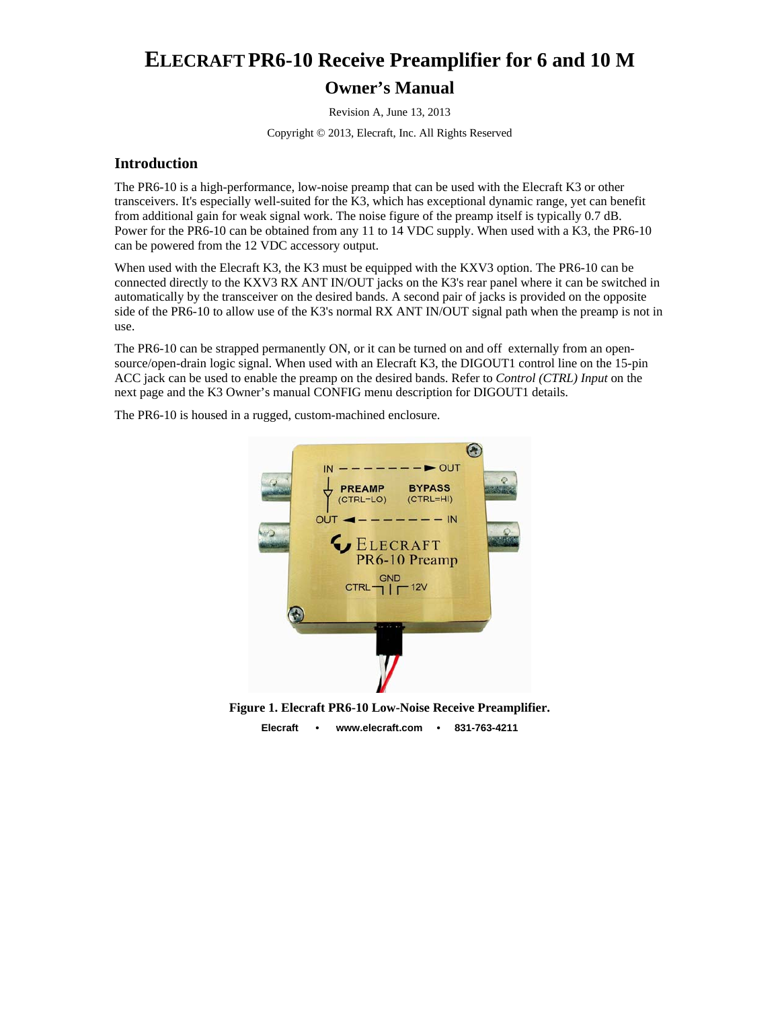# **ELECRAFT PR6-10 Receive Preamplifier for 6 and 10 M Owner's Manual**

Revision A, June 13, 2013

Copyright © 2013, Elecraft, Inc. All Rights Reserved

#### **Introduction**

The PR6-10 is a high-performance, low-noise preamp that can be used with the Elecraft K3 or other transceivers. It's especially well-suited for the K3, which has exceptional dynamic range, yet can benefit from additional gain for weak signal work. The noise figure of the preamp itself is typically 0.7 dB. Power for the PR6-10 can be obtained from any 11 to 14 VDC supply. When used with a K3, the PR6-10 can be powered from the 12 VDC accessory output.

When used with the Elecraft K3, the K3 must be equipped with the KXV3 option. The PR6-10 can be connected directly to the KXV3 RX ANT IN/OUT jacks on the K3's rear panel where it can be switched in automatically by the transceiver on the desired bands. A second pair of jacks is provided on the opposite side of the PR6-10 to allow use of the K3's normal RX ANT IN/OUT signal path when the preamp is not in use.

The PR6-10 can be strapped permanently ON, or it can be turned on and off externally from an opensource/open-drain logic signal. When used with an Elecraft K3, the DIGOUT1 control line on the 15-pin ACC jack can be used to enable the preamp on the desired bands. Refer to *Control (CTRL) Input* on the next page and the K3 Owner's manual CONFIG menu description for DIGOUT1 details.

The PR6-10 is housed in a rugged, custom-machined enclosure.



**Figure 1. Elecraft PR6-10 Low-Noise Receive Preamplifier.** 

**Elecraft • www.elecraft.com • 831-763-4211**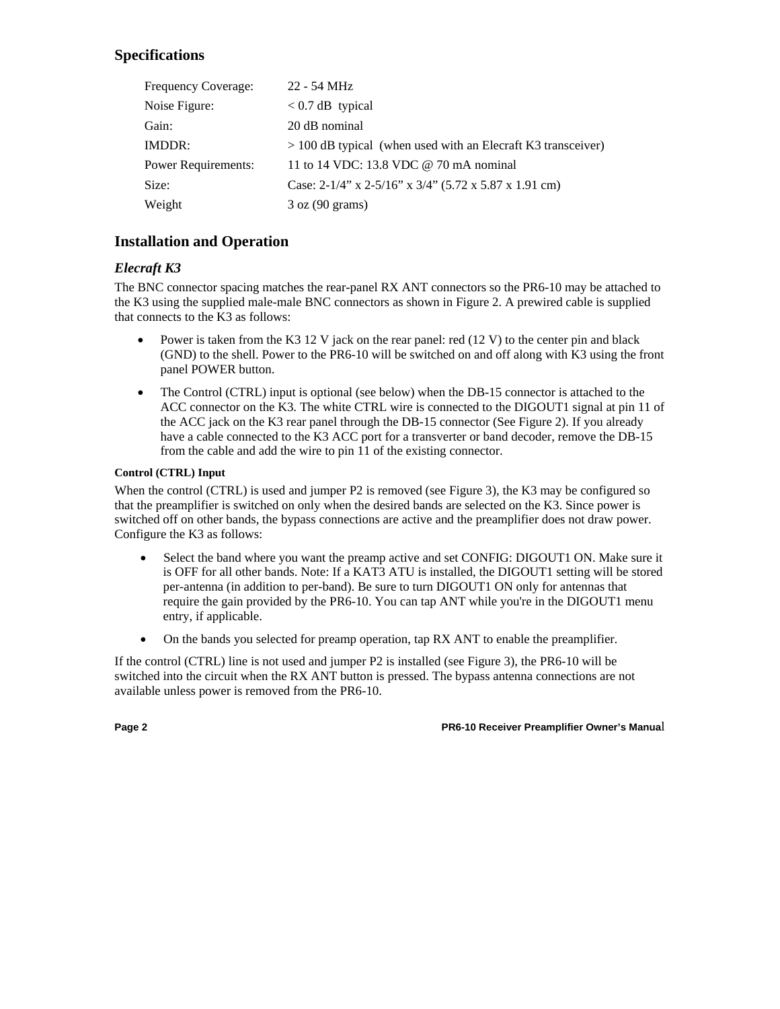# **Specifications**

| Frequency Coverage:        | 22 - 54 MHz                                                    |
|----------------------------|----------------------------------------------------------------|
| Noise Figure:              | $< 0.7$ dB typical                                             |
| Gain:                      | 20 dB nominal                                                  |
| IMDDR:                     | $> 100$ dB typical (when used with an Elecraft K3 transceiver) |
| <b>Power Requirements:</b> | 11 to 14 VDC: 13.8 VDC @ 70 mA nominal                         |
| Size:                      | Case: $2-1/4$ " x $2-5/16$ " x $3/4$ " (5.72 x 5.87 x 1.91 cm) |
| Weight                     | $3 \text{ oz } (90 \text{ grams})$                             |

# **Installation and Operation**

## *Elecraft K3*

The BNC connector spacing matches the rear-panel RX ANT connectors so the PR6-10 may be attached to the K3 using the supplied male-male BNC connectors as shown in Figure 2. A prewired cable is supplied that connects to the K3 as follows:

- Power is taken from the K3 12 V jack on the rear panel: red (12 V) to the center pin and black (GND) to the shell. Power to the PR6-10 will be switched on and off along with K3 using the front panel POWER button.
- The Control (CTRL) input is optional (see below) when the DB-15 connector is attached to the ACC connector on the K3. The white CTRL wire is connected to the DIGOUT1 signal at pin 11 of the ACC jack on the K3 rear panel through the DB-15 connector (See Figure 2). If you already have a cable connected to the K3 ACC port for a transverter or band decoder, remove the DB-15 from the cable and add the wire to pin 11 of the existing connector.

#### **Control (CTRL) Input**

When the control (CTRL) is used and jumper P2 is removed (see Figure 3), the K3 may be configured so that the preamplifier is switched on only when the desired bands are selected on the K3. Since power is switched off on other bands, the bypass connections are active and the preamplifier does not draw power. Configure the K3 as follows:

- Select the band where you want the preamp active and set CONFIG: DIGOUT1 ON. Make sure it is OFF for all other bands. Note: If a KAT3 ATU is installed, the DIGOUT1 setting will be stored per-antenna (in addition to per-band). Be sure to turn DIGOUT1 ON only for antennas that require the gain provided by the PR6-10. You can tap ANT while you're in the DIGOUT1 menu entry, if applicable.
- On the bands you selected for preamp operation, tap RX ANT to enable the preamplifier.

If the control (CTRL) line is not used and jumper P2 is installed (see Figure 3), the PR6-10 will be switched into the circuit when the RX ANT button is pressed. The bypass antenna connections are not available unless power is removed from the PR6-10.

**Page 2 PR6-10 Receiver Preamplifier Owner's Manua**l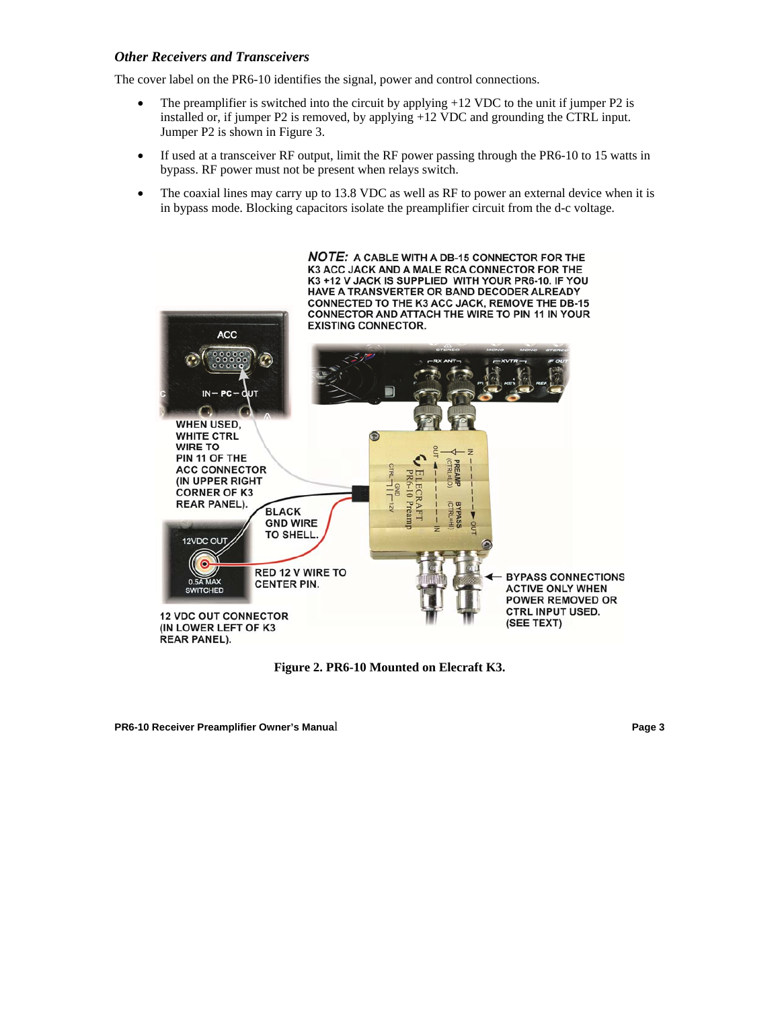#### *Other Receivers and Transceivers*

The cover label on the PR6-10 identifies the signal, power and control connections.

- The preamplifier is switched into the circuit by applying  $+12$  VDC to the unit if jumper P2 is installed or, if jumper P2 is removed, by applying +12 VDC and grounding the CTRL input. Jumper P2 is shown in Figure 3.
- If used at a transceiver RF output, limit the RF power passing through the PR6-10 to 15 watts in bypass. RF power must not be present when relays switch.
- The coaxial lines may carry up to 13.8 VDC as well as RF to power an external device when it is in bypass mode. Blocking capacitors isolate the preamplifier circuit from the d-c voltage.



**Figure 2. PR6-10 Mounted on Elecraft K3.** 

**PR6-10 Receiver Preamplifier Owner's Manua**l **Page 3**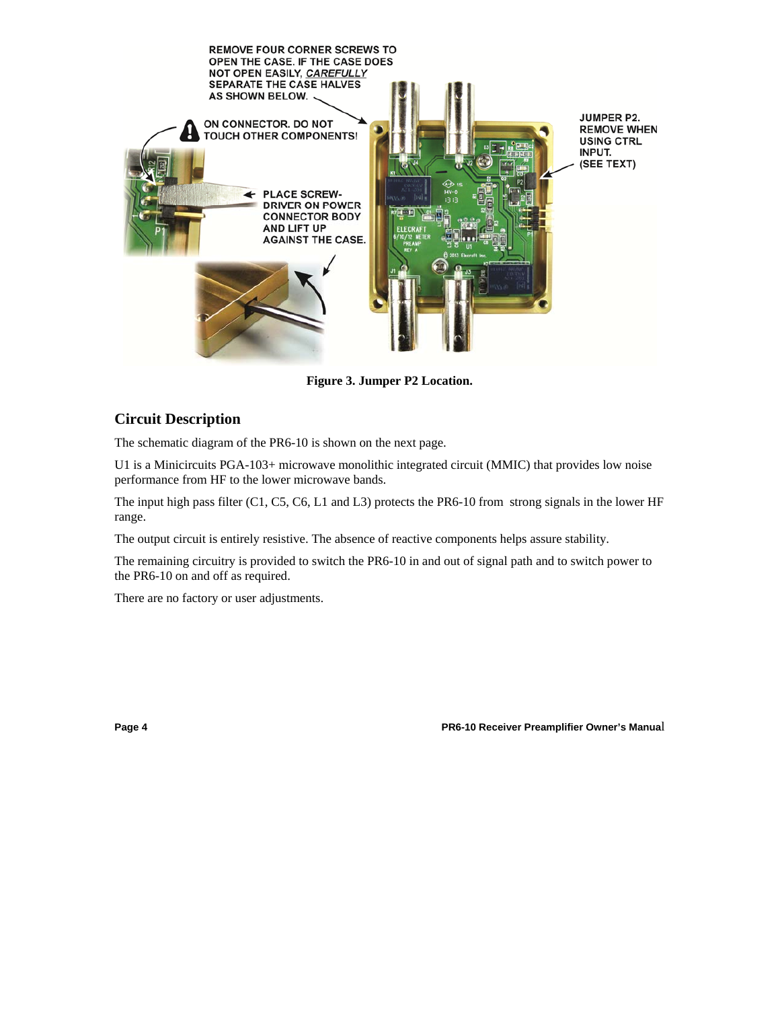

**Figure 3. Jumper P2 Location.** 

#### **Circuit Description**

The schematic diagram of the PR6-10 is shown on the next page.

U1 is a Minicircuits PGA-103+ microwave monolithic integrated circuit (MMIC) that provides low noise performance from HF to the lower microwave bands.

The input high pass filter (C1, C5, C6, L1 and L3) protects the PR6-10 from strong signals in the lower HF range.

The output circuit is entirely resistive. The absence of reactive components helps assure stability.

The remaining circuitry is provided to switch the PR6-10 in and out of signal path and to switch power to the PR6-10 on and off as required.

There are no factory or user adjustments.

**Page 4 PR6-10 Receiver Preamplifier Owner's Manua**l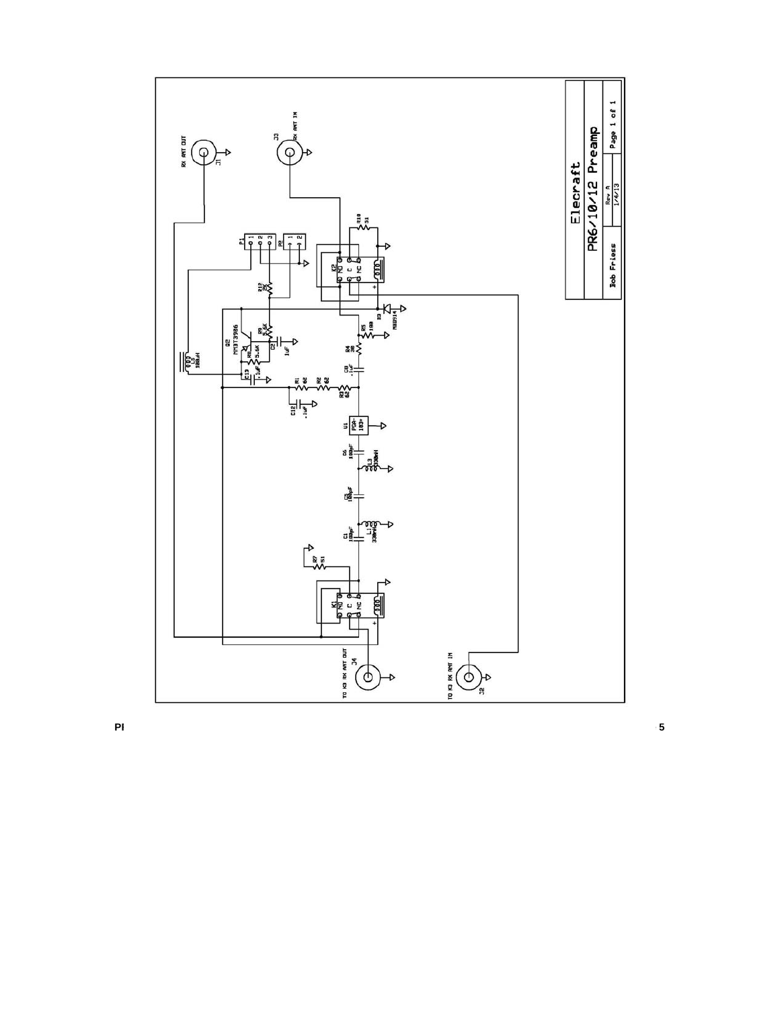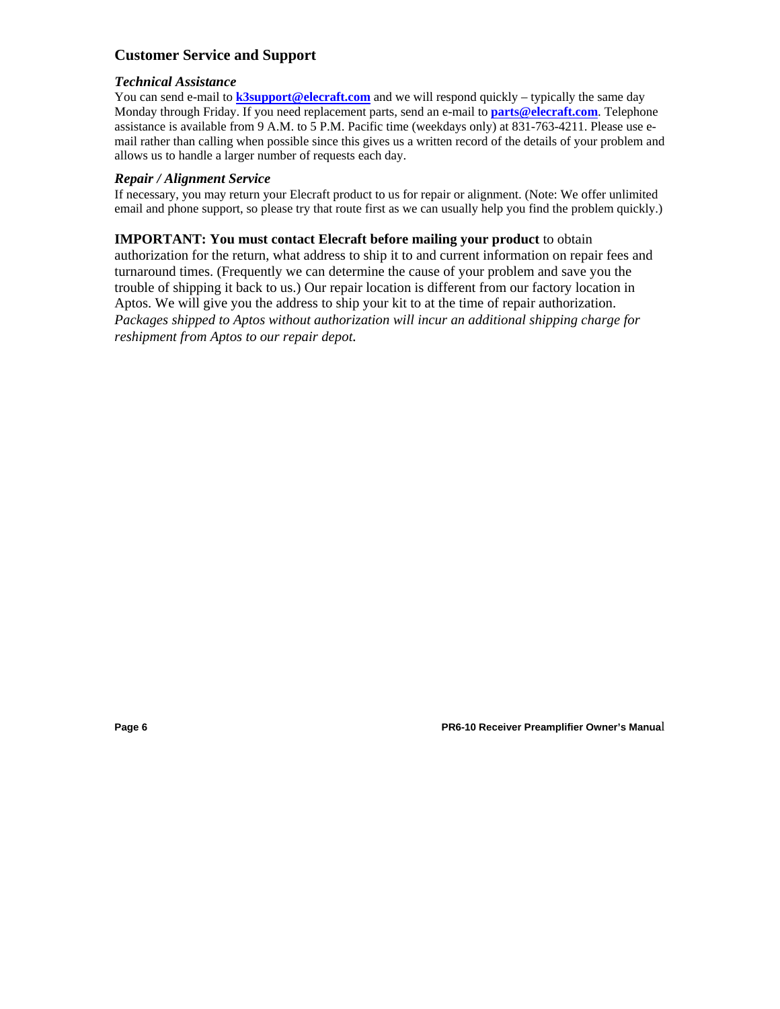## **Customer Service and Support**

#### *Technical Assistance*

You can send e-mail to **k3support@elecraft.com** and we will respond quickly – typically the same day Monday through Friday. If you need replacement parts, send an e-mail to **parts@elecraft.com**. Telephone assistance is available from 9 A.M. to 5 P.M. Pacific time (weekdays only) at 831-763-4211. Please use email rather than calling when possible since this gives us a written record of the details of your problem and allows us to handle a larger number of requests each day.

#### *Repair / Alignment Service*

If necessary, you may return your Elecraft product to us for repair or alignment. (Note: We offer unlimited email and phone support, so please try that route first as we can usually help you find the problem quickly.)

#### **IMPORTANT: You must contact Elecraft before mailing your product** to obtain

authorization for the return, what address to ship it to and current information on repair fees and turnaround times. (Frequently we can determine the cause of your problem and save you the trouble of shipping it back to us.) Our repair location is different from our factory location in Aptos. We will give you the address to ship your kit to at the time of repair authorization. *Packages shipped to Aptos without authorization will incur an additional shipping charge for reshipment from Aptos to our repair depot.* 

**Page 6 PR6-10 Receiver Preamplifier Owner's Manua**l